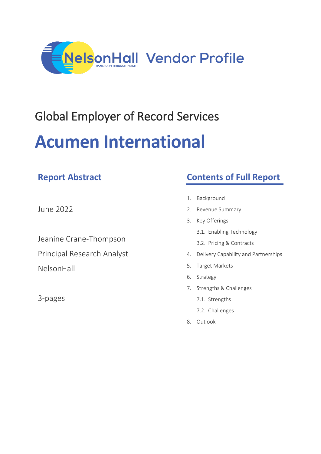

# Global Employer of Record Services **Acumen International**

| June 2022 |  |  |
|-----------|--|--|
|           |  |  |

**Report Abstract**

Jeanine Crane-Thompson Principal Research Analyst NelsonHall

3-pages

# **Contents of Full Report**

- 1. Background
- 2. Revenue Summary
- 3. Key Offerings
	- 3.1. Enabling Technology
	- 3.2. Pricing & Contracts
- 4. Delivery Capability and Partnerships
- 5. Target Markets
- 6. Strategy
- 7. Strengths & Challenges
	- 7.1. Strengths
	- 7.2. Challenges
- 8. Outlook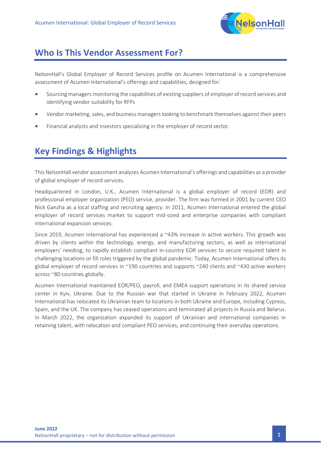

## **Who Is This Vendor Assessment For?**

NelsonHall's Global Employer of Record Services profile on Acumen International is a comprehensive assessment of Acumen International's offerings and capabilities, designed for:

- Sourcing managers monitoring the capabilities of existing suppliers of employer of record services and identifying vendor suitability for RFPs
- Vendor marketing, sales, and business managers looking to benchmark themselves against their peers
- Financial analysts and investors specializing in the employer of record sector.

## **Key Findings & Highlights**

This NelsonHall vendor assessment analyzes Acumen International's offerings and capabilities as a provider of global employer of record services.

Headquartered in London, U.K., Acumen International is a global employer of record (EOR) and professional employer organization (PEO) service, provider. The firm was formed in 2001 by current CEO Nick Ganzha as a local staffing and recruiting agency. In 2011, Acumen International entered the global employer of record services market to support mid-sized and enterprise companies with compliant international expansion services.

Since 2019, Acumen International has experienced a ~43% increase in active workers. This growth was driven by clients within the technology, energy, and manufacturing sectors, as well as international employers' needing, to rapidly establish compliant in-country EOR services to secure required talent in challenging locations or fill roles triggered by the global pandemic. Today, Acumen International offers its global employer of record services in ~190 countries and supports ~240 clients and ~430 active workers across ~80 countries globally.

Acumen International maintained EOR/PEO, payroll, and EMEA support operations in its shared service center in Kyiv, Ukraine. Due to the Russian war that started in Ukraine in February 2022, Acumen International has relocated its Ukrainian team to locations in both Ukraine and Europe, including Cypress, Spain, and the UK. The company has ceased operations and terminated all projects in Russia and Belarus. In March 2022, the organization expanded its support of Ukrainian and international companies in retaining talent, with relocation and compliant PEO services, and continuing their everyday operations.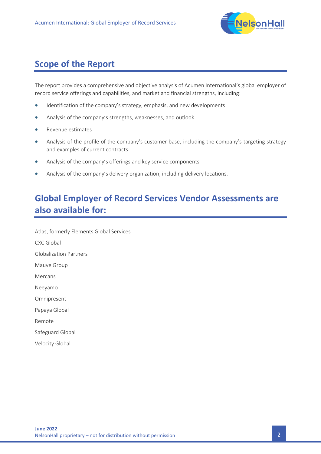

# **Scope of the Report**

The report provides a comprehensive and objective analysis of Acumen International's global employer of record service offerings and capabilities, and market and financial strengths, including:

- Identification of the company's strategy, emphasis, and new developments
- Analysis of the company's strengths, weaknesses, and outlook
- Revenue estimates
- Analysis of the profile of the company's customer base, including the company's targeting strategy and examples of current contracts
- Analysis of the company's offerings and key service components
- Analysis of the company's delivery organization, including delivery locations.

## **Global Employer of Record Services Vendor Assessments are also available for:**

Atlas, formerly Elements Global Services CXC Global Globalization Partners Mauve Group Mercans Neeyamo Omnipresent Papaya Global Remote Safeguard Global Velocity Global